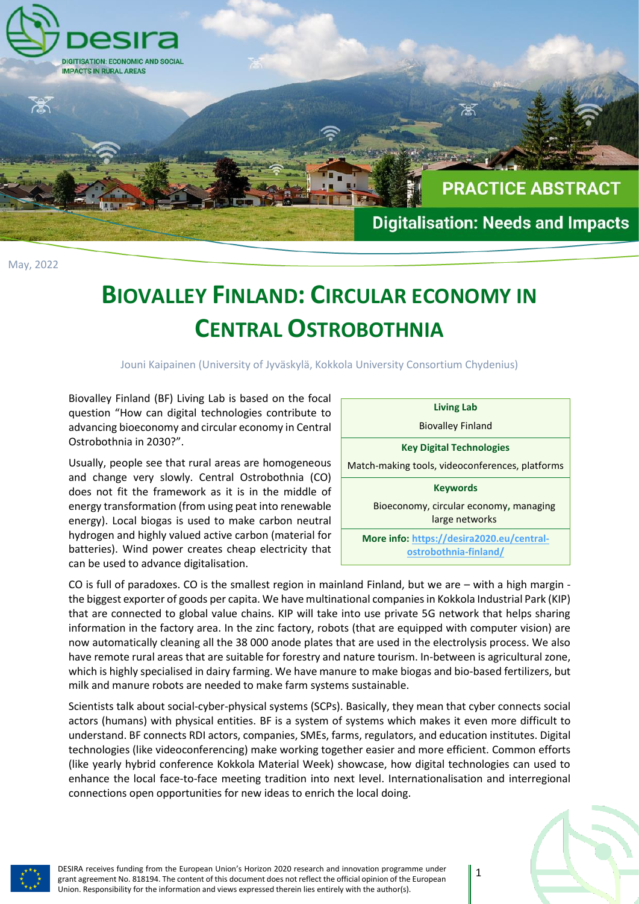

## **BIOVALLEY FINLAND: CIRCULAR ECONOMY IN CENTRAL OSTROBOTHNIA**

Jouni Kaipainen (University of Jyväskylä, Kokkola University Consortium Chydenius)

Biovalley Finland (BF) Living Lab is based on the focal question "How can digital technologies contribute to advancing bioeconomy and circular economy in Central Ostrobothnia in 2030?".

Usually, people see that rural areas are homogeneous and change very slowly. Central Ostrobothnia (CO) does not fit the framework as it is in the middle of energy transformation (from using peat into renewable energy). Local biogas is used to make carbon neutral hydrogen and highly valued active carbon (material for batteries). Wind power creates cheap electricity that can be used to advance digitalisation.

**Living Lab** Biovalley Finland **Key Digital Technologies** Match-making tools, videoconferences, platforms **Keywords** Bioeconomy, circular economy**,** managing large networks **More info: [https://desira2020.eu/central](https://desira2020.eu/central-ostrobothnia-finland/)[ostrobothnia-finland/](https://desira2020.eu/central-ostrobothnia-finland/)**

CO is full of paradoxes. CO is the smallest region in mainland Finland, but we are – with a high margin the biggest exporter of goods per capita. We have multinational companies in Kokkola Industrial Park (KIP) that are connected to global value chains. KIP will take into use private 5G network that helps sharing information in the factory area. In the zinc factory, robots (that are equipped with computer vision) are now automatically cleaning all the 38 000 anode plates that are used in the electrolysis process. We also have remote rural areas that are suitable for forestry and nature tourism. In-between is agricultural zone, which is highly specialised in dairy farming. We have manure to make biogas and bio-based fertilizers, but milk and manure robots are needed to make farm systems sustainable.

Scientists talk about social-cyber-physical systems (SCPs). Basically, they mean that cyber connects social actors (humans) with physical entities. BF is a system of systems which makes it even more difficult to understand. BF connects RDI actors, companies, SMEs, farms, regulators, and education institutes. Digital technologies (like videoconferencing) make working together easier and more efficient. Common efforts (like yearly hybrid conference Kokkola Material Week) showcase, how digital technologies can used to enhance the local face-to-face meeting tradition into next level. Internationalisation and interregional connections open opportunities for new ideas to enrich the local doing.



DESIRA receives funding from the European Union's Horizon 2020 research and innovation programme under grant agreement No. 818194. The content of this document does not reflect the official opinion of the European Union. Responsibility for the information and views expressed therein lies entirely with the author(s).